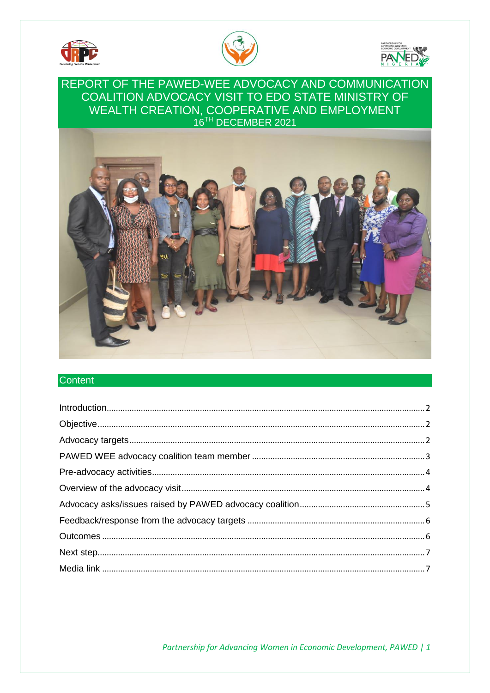





# REPORT OF THE PAWED-WEE ADVOCACY AND COMMUNICATION COALITION ADVOCACY VISIT TO EDO STATE MINISTRY OF WEALTH CREATION, COOPERATIVE AND EMPLOYMENT 16<sup>TH</sup> DECEMBER 2021



### **Content**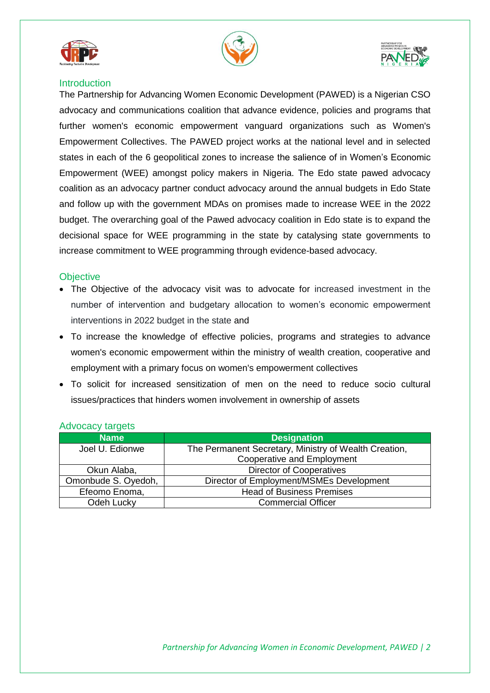





## <span id="page-1-0"></span>**Introduction**

The Partnership for Advancing Women Economic Development (PAWED) is a Nigerian CSO advocacy and communications coalition that advance evidence, policies and programs that further women's economic empowerment vanguard organizations such as Women's Empowerment Collectives. The PAWED project works at the national level and in selected states in each of the 6 geopolitical zones to increase the salience of in Women's Economic Empowerment (WEE) amongst policy makers in Nigeria. The Edo state pawed advocacy coalition as an advocacy partner conduct advocacy around the annual budgets in Edo State and follow up with the government MDAs on promises made to increase WEE in the 2022 budget. The overarching goal of the Pawed advocacy coalition in Edo state is to expand the decisional space for WEE programming in the state by catalysing state governments to increase commitment to WEE programming through evidence-based advocacy.

### <span id="page-1-1"></span>**Objective**

- The Objective of the advocacy visit was to advocate for increased investment in the number of intervention and budgetary allocation to women's economic empowerment interventions in 2022 budget in the state and
- To increase the knowledge of effective policies, programs and strategies to advance women's economic empowerment within the ministry of wealth creation, cooperative and employment with a primary focus on women's empowerment collectives
- To solicit for increased sensitization of men on the need to reduce socio cultural issues/practices that hinders women involvement in ownership of assets

| <b>Name</b>         | <b>Designation</b>                                    |  |  |  |
|---------------------|-------------------------------------------------------|--|--|--|
| Joel U. Edionwe     | The Permanent Secretary, Ministry of Wealth Creation, |  |  |  |
|                     | <b>Cooperative and Employment</b>                     |  |  |  |
| Okun Alaba,         | <b>Director of Cooperatives</b>                       |  |  |  |
| Omonbude S. Oyedoh, | Director of Employment/MSMEs Development              |  |  |  |
| Efeomo Enoma,       | <b>Head of Business Premises</b>                      |  |  |  |
| Odeh Lucky          | <b>Commercial Officer</b>                             |  |  |  |

### <span id="page-1-2"></span>Advocacy targets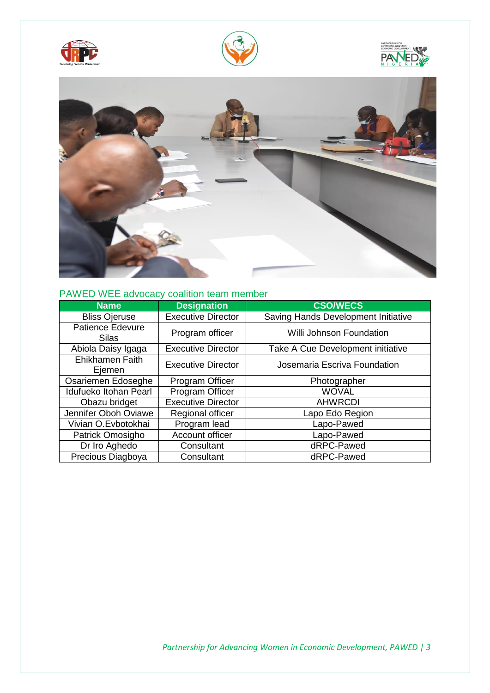







# <span id="page-2-0"></span>PAWED WEE advocacy coalition team member

| <b>Name</b>                      | <b>Designation</b>        | <b>CSO/WECS</b>                     |
|----------------------------------|---------------------------|-------------------------------------|
| <b>Bliss Ojeruse</b>             | <b>Executive Director</b> | Saving Hands Development Initiative |
| <b>Patience Edevure</b><br>Silas | Program officer           | Willi Johnson Foundation            |
| Abiola Daisy Igaga               | <b>Executive Director</b> | Take A Cue Development initiative   |
| <b>Ehikhamen Faith</b><br>Ejemen | <b>Executive Director</b> | Josemaria Escriva Foundation        |
| Osariemen Edoseghe               | Program Officer           | Photographer                        |
| Idufueko Itohan Pearl            | Program Officer           | <b>WOVAL</b>                        |
| Obazu bridget                    | <b>Executive Director</b> | <b>AHWRCDI</b>                      |
| Jennifer Oboh Oviawe             | Regional officer          | Lapo Edo Region                     |
| Vivian O.Evbotokhai              | Program lead              | Lapo-Pawed                          |
| Patrick Omosigho                 | Account officer           | Lapo-Pawed                          |
| Dr Iro Aghedo                    | Consultant                | dRPC-Pawed                          |
| Precious Diagboya                | Consultant                | dRPC-Pawed                          |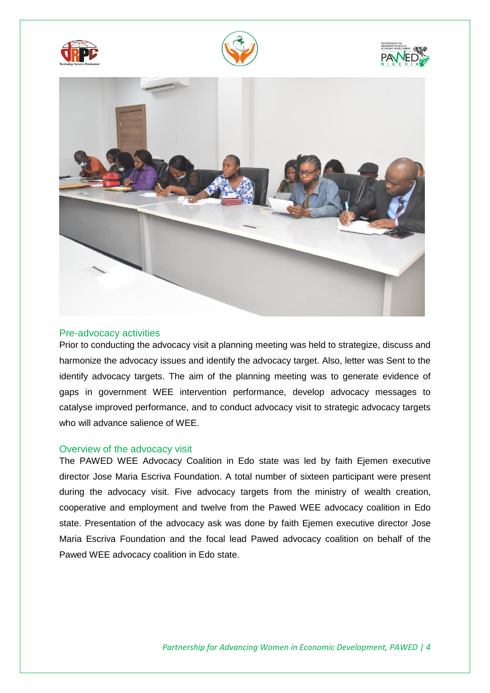







#### <span id="page-3-0"></span>Pre-advocacy activities

Prior to conducting the advocacy visit a planning meeting was held to strategize, discuss and harmonize the advocacy issues and identify the advocacy target. Also, letter was Sent to the identify advocacy targets. The aim of the planning meeting was to generate evidence of gaps in government WEE intervention performance, develop advocacy messages to catalyse improved performance, and to conduct advocacy visit to strategic advocacy targets who will advance salience of WEE.

#### <span id="page-3-1"></span>Overview of the advocacy visit

The PAWED WEE Advocacy Coalition in Edo state was led by faith Ejemen executive director Jose Maria Escriva Foundation. A total number of sixteen participant were present during the advocacy visit. Five advocacy targets from the ministry of wealth creation, cooperative and employment and twelve from the Pawed WEE advocacy coalition in Edo state. Presentation of the advocacy ask was done by faith Ejemen executive director Jose Maria Escriva Foundation and the focal lead Pawed advocacy coalition on behalf of the Pawed WEE advocacy coalition in Edo state.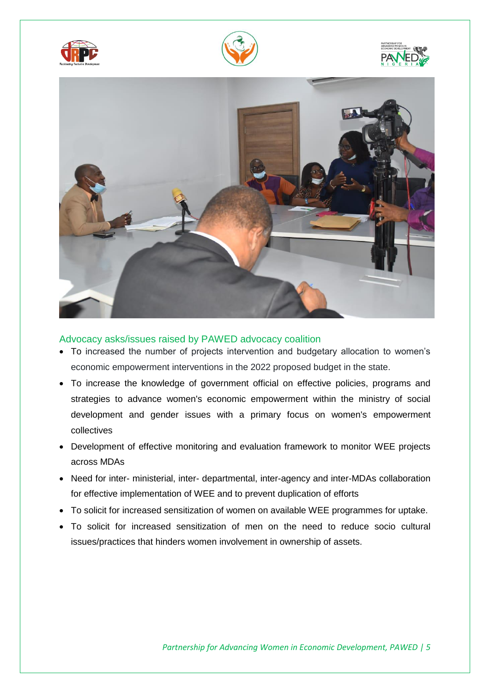







<span id="page-4-0"></span>Advocacy asks/issues raised by PAWED advocacy coalition

- To increased the number of projects intervention and budgetary allocation to women's economic empowerment interventions in the 2022 proposed budget in the state.
- To increase the knowledge of government official on effective policies, programs and strategies to advance women's economic empowerment within the ministry of social development and gender issues with a primary focus on women's empowerment collectives
- Development of effective monitoring and evaluation framework to monitor WEE projects across MDAs
- Need for inter- ministerial, inter- departmental, inter-agency and inter-MDAs collaboration for effective implementation of WEE and to prevent duplication of efforts
- To solicit for increased sensitization of women on available WEE programmes for uptake.
- To solicit for increased sensitization of men on the need to reduce socio cultural issues/practices that hinders women involvement in ownership of assets.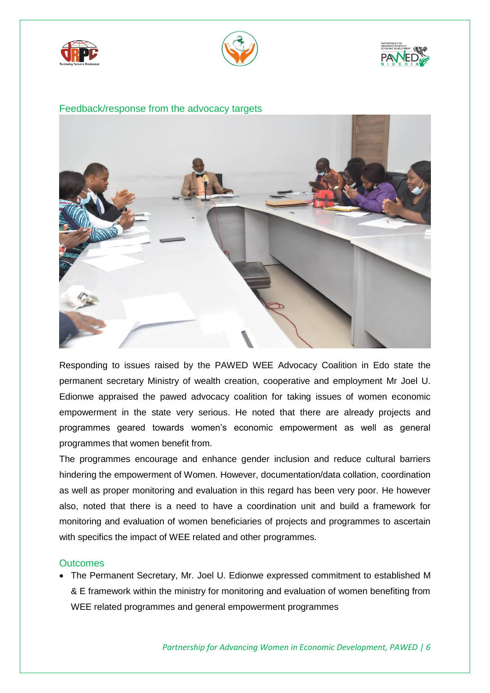





#### <span id="page-5-0"></span>Feedback/response from the advocacy targets



Responding to issues raised by the PAWED WEE Advocacy Coalition in Edo state the permanent secretary Ministry of wealth creation, cooperative and employment Mr Joel U. Edionwe appraised the pawed advocacy coalition for taking issues of women economic empowerment in the state very serious. He noted that there are already projects and programmes geared towards women's economic empowerment as well as general programmes that women benefit from.

The programmes encourage and enhance gender inclusion and reduce cultural barriers hindering the empowerment of Women. However, documentation/data collation, coordination as well as proper monitoring and evaluation in this regard has been very poor. He however also, noted that there is a need to have a coordination unit and build a framework for monitoring and evaluation of women beneficiaries of projects and programmes to ascertain with specifics the impact of WEE related and other programmes.

### <span id="page-5-1"></span>**Outcomes**

 The Permanent Secretary, Mr. Joel U. Edionwe expressed commitment to established M & E framework within the ministry for monitoring and evaluation of women benefiting from WEE related programmes and general empowerment programmes